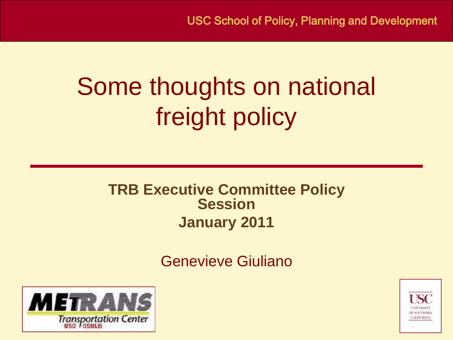#### Some thoughts on national freight policy

#### **TRB Executive Committee Policy Session January 2011**

Genevieve Giuliano



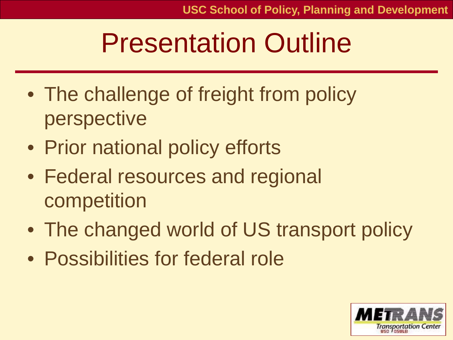#### Presentation Outline

- The challenge of freight from policy perspective
- Prior national policy efforts
- Federal resources and regional competition
- The changed world of US transport policy
- Possibilities for federal role

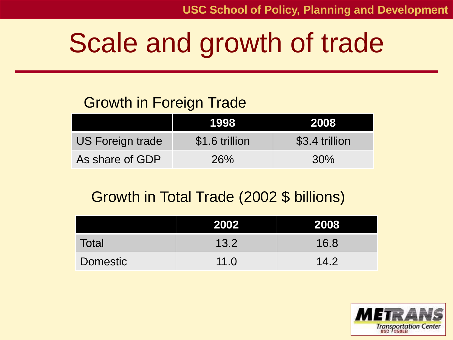## Scale and growth of trade

#### Growth in Foreign Trade

|                         | T998           | 2008           |
|-------------------------|----------------|----------------|
| <b>US Foreign trade</b> | \$1.6 trillion | \$3.4 trillion |
| As share of GDP         | 26%            | 30%            |

#### Growth in Total Trade (2002 \$ billions)

|          | 2002 | 2008 |
|----------|------|------|
| Total    | 13.2 | 16.8 |
| Domestic | 11.0 | 14.2 |

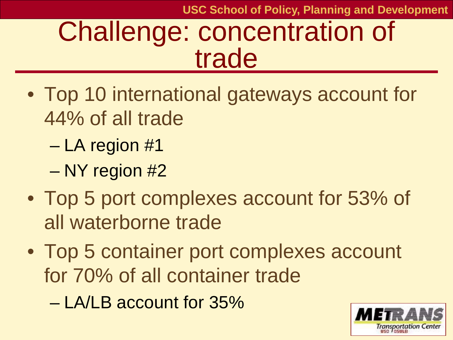**USC School of Policy, Planning and Development**

#### Challenge: concentration of trade

- Top 10 international gateways account for 44% of all trade
	- LA region #1
	- NY region #2
- Top 5 port complexes account for 53% of all waterborne trade
- Top 5 container port complexes account for 70% of all container trade
	- LA/LB account for 35%

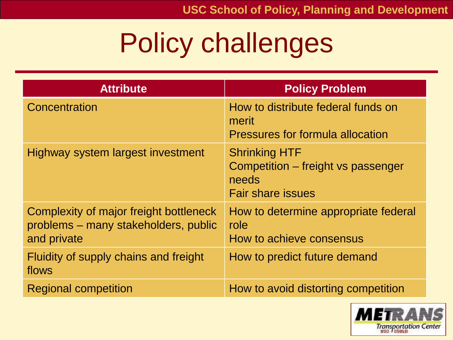## Policy challenges

| <b>Attribute</b>                                                                              | <b>Policy Problem</b>                                                                           |
|-----------------------------------------------------------------------------------------------|-------------------------------------------------------------------------------------------------|
| Concentration                                                                                 | How to distribute federal funds on<br>merit<br>Pressures for formula allocation                 |
| Highway system largest investment                                                             | <b>Shrinking HTF</b><br>Competition – freight vs passenger<br>needs<br><b>Fair share issues</b> |
| Complexity of major freight bottleneck<br>problems – many stakeholders, public<br>and private | How to determine appropriate federal<br>role<br>How to achieve consensus                        |
| Fluidity of supply chains and freight<br>flows                                                | How to predict future demand                                                                    |
| <b>Regional competition</b>                                                                   | How to avoid distorting competition                                                             |

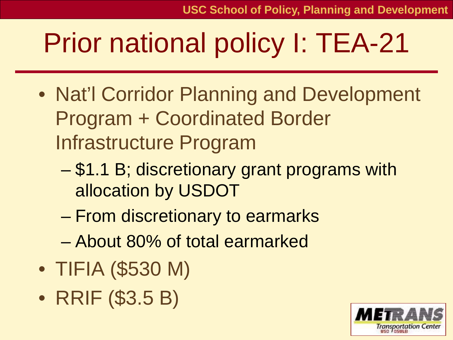## Prior national policy I: TEA-21

- Nat'l Corridor Planning and Development Program + Coordinated Border Infrastructure Program
	- \$1.1 B; discretionary grant programs with allocation by USDOT
	- From discretionary to earmarks
	- About 80% of total earmarked
- TIFIA (\$530 M)
- RRIF (\$3.5 B)

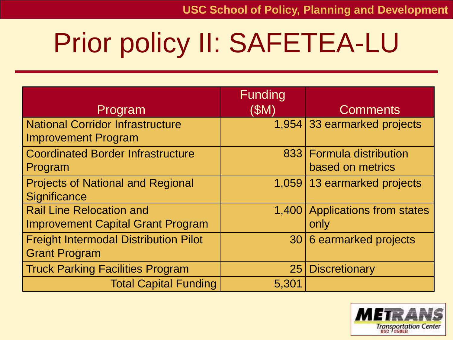# Prior policy II: SAFETEA-LU

| Program                                                                     | Funding<br>(SM) | <b>Comments</b>                              |
|-----------------------------------------------------------------------------|-----------------|----------------------------------------------|
| <b>National Corridor Infrastructure</b><br><b>Improvement Program</b>       |                 | 1,954 33 earmarked projects                  |
| <b>Coordinated Border Infrastructure</b><br>Program                         |                 | 833 Formula distribution<br>based on metrics |
| <b>Projects of National and Regional</b><br>Significance                    |                 | 1,059 13 earmarked projects                  |
| <b>Rail Line Relocation and</b><br><b>Improvement Capital Grant Program</b> |                 | 1,400 Applications from states<br>only       |
| <b>Freight Intermodal Distribution Pilot</b><br><b>Grant Program</b>        |                 | 30 6 earmarked projects                      |
| <b>Truck Parking Facilities Program</b>                                     | 25              | <b>Discretionary</b>                         |
| <b>Total Capital Funding</b>                                                | 5,301           |                                              |

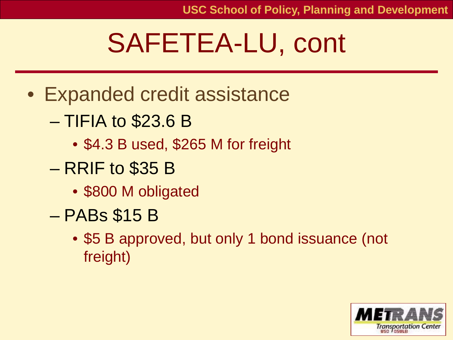### SAFETEA-LU, cont

- Expanded credit assistance
	- TIFIA to \$23.6 B
		- \$4.3 B used, \$265 M for freight
	- RRIF to \$35 B
		- \$800 M obligated
	- PABs \$15 B
		- \$5 B approved, but only 1 bond issuance (not freight)

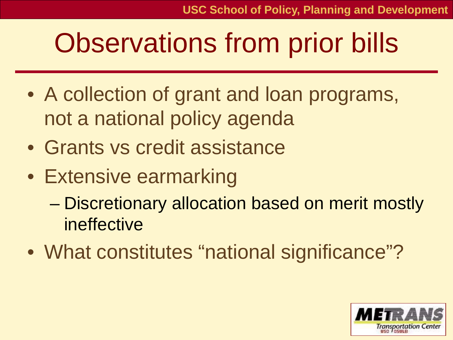### Observations from prior bills

- A collection of grant and loan programs, not a national policy agenda
- Grants vs credit assistance
- Extensive earmarking
	- Discretionary allocation based on merit mostly ineffective
- What constitutes "national significance"?

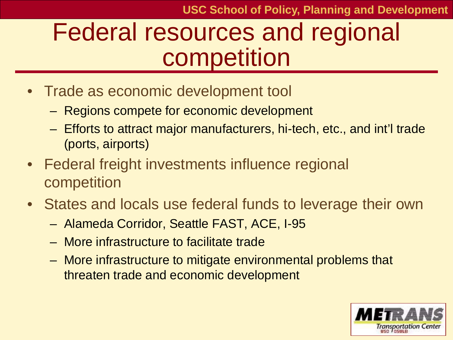#### Federal resources and regional competition

- Trade as economic development tool
	- Regions compete for economic development
	- Efforts to attract major manufacturers, hi-tech, etc., and int'l trade (ports, airports)
- Federal freight investments influence regional competition
- States and locals use federal funds to leverage their own
	- Alameda Corridor, Seattle FAST, ACE, I-95
	- More infrastructure to facilitate trade
	- More infrastructure to mitigate environmental problems that threaten trade and economic development

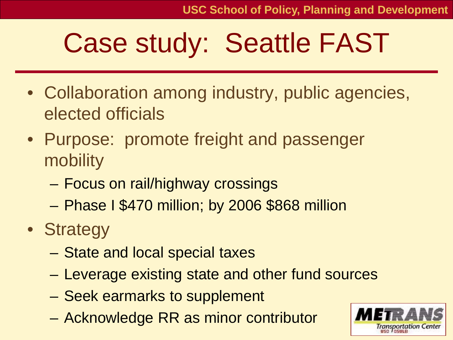### Case study: Seattle FAST

- Collaboration among industry, public agencies, elected officials
- Purpose: promote freight and passenger mobility
	- Focus on rail/highway crossings
	- Phase I \$470 million; by 2006 \$868 million
- Strategy
	- State and local special taxes
	- Leverage existing state and other fund sources
	- Seek earmarks to supplement
	- Acknowledge RR as minor contributor

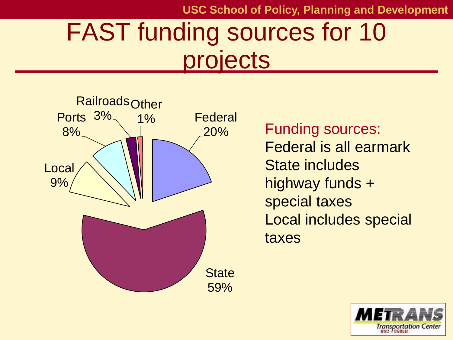**USC School of Policy, Planning and Development**

#### FAST funding sources for 10 projects



Federal is all earmark State includes highway funds + special taxes Local includes special taxes

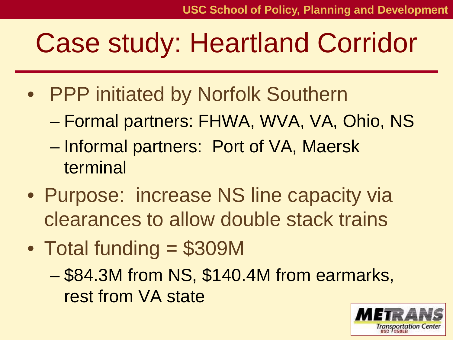#### Case study: Heartland Corridor

- PPP initiated by Norfolk Southern
	- Formal partners: FHWA, WVA, VA, Ohio, NS
	- Informal partners: Port of VA, Maersk terminal
- Purpose: increase NS line capacity via clearances to allow double stack trains
- Total funding = \$309M
	- \$84.3M from NS, \$140.4M from earmarks, rest from VA state

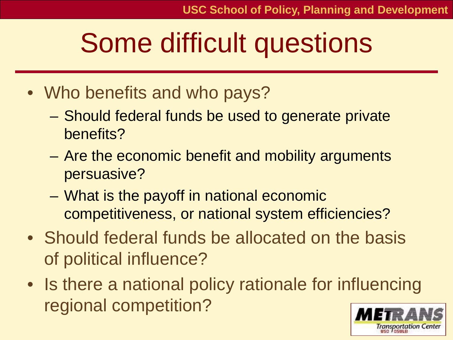ortation Cent

#### Some difficult questions

- Who benefits and who pays?
	- Should federal funds be used to generate private benefits?
	- Are the economic benefit and mobility arguments persuasive?
	- What is the payoff in national economic competitiveness, or national system efficiencies?
- Should federal funds be allocated on the basis of political influence?
- Is there a national policy rationale for influencing regional competition?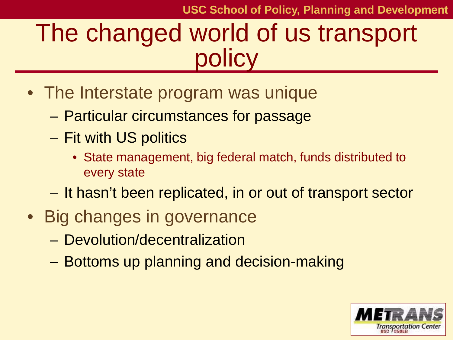#### The changed world of us transport policy

- The Interstate program was unique
	- Particular circumstances for passage
	- Fit with US politics
		- State management, big federal match, funds distributed to every state
	- It hasn't been replicated, in or out of transport sector
- Big changes in governance
	- Devolution/decentralization
	- Bottoms up planning and decision-making

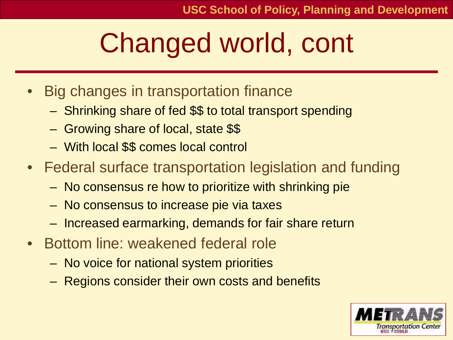## Changed world, cont

- Big changes in transportation finance
	- Shrinking share of fed \$\$ to total transport spending
	- Growing share of local, state \$\$
	- With local \$\$ comes local control
- Federal surface transportation legislation and funding
	- No consensus re how to prioritize with shrinking pie
	- No consensus to increase pie via taxes
	- Increased earmarking, demands for fair share return
- Bottom line: weakened federal role
	- No voice for national system priorities
	- Regions consider their own costs and benefits

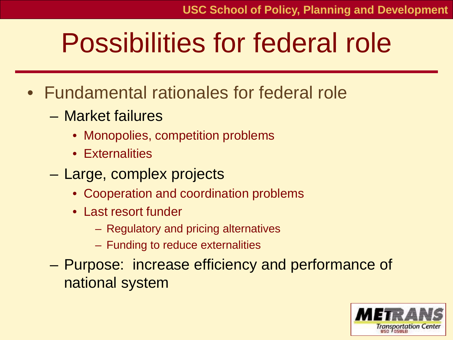#### Possibilities for federal role

- Fundamental rationales for federal role
	- Market failures
		- Monopolies, competition problems
		- Externalities
	- Large, complex projects
		- Cooperation and coordination problems
		- Last resort funder
			- Regulatory and pricing alternatives
			- Funding to reduce externalities
	- Purpose: increase efficiency and performance of national system

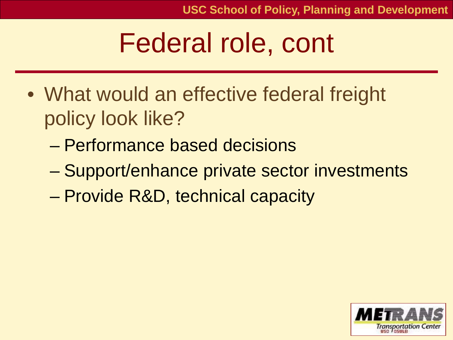#### Federal role, cont

- What would an effective federal freight policy look like?
	- Performance based decisions
	- Support/enhance private sector investments
	- Provide R&D, technical capacity

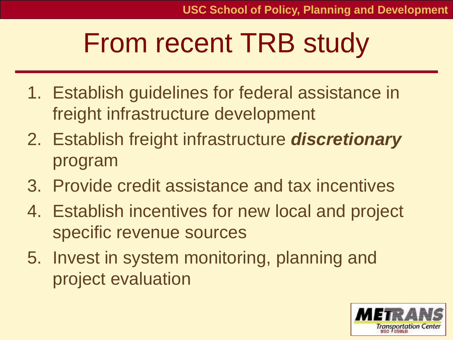### From recent TRB study

- 1. Establish guidelines for federal assistance in freight infrastructure development
- 2. Establish freight infrastructure *discretionary* program
- 3. Provide credit assistance and tax incentives
- 4. Establish incentives for new local and project specific revenue sources
- 5. Invest in system monitoring, planning and project evaluation

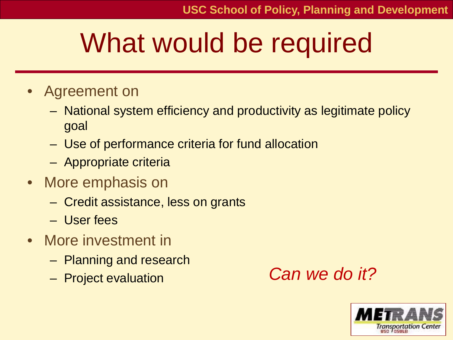## What would be required

- Agreement on
	- National system efficiency and productivity as legitimate policy goal
	- Use of performance criteria for fund allocation
	- Appropriate criteria
- More emphasis on
	- Credit assistance, less on grants
	- User fees
- More investment in
	- Planning and research
	-

– Project evaluation *Can we do it?*